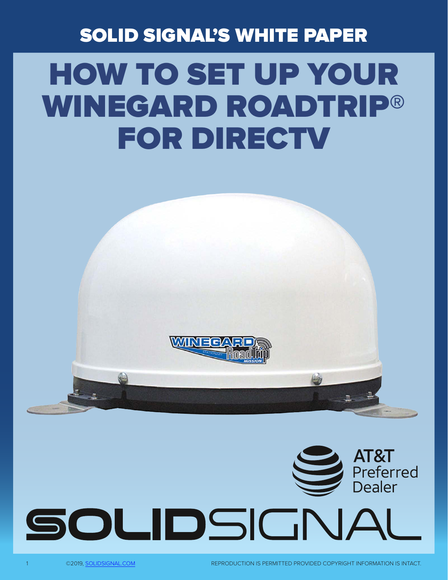### SOLID SIGNAL'S WHITE PAPER

# HOW TO SET UP YOUR WINEGARD ROADTRIP® FOR DIRECTV



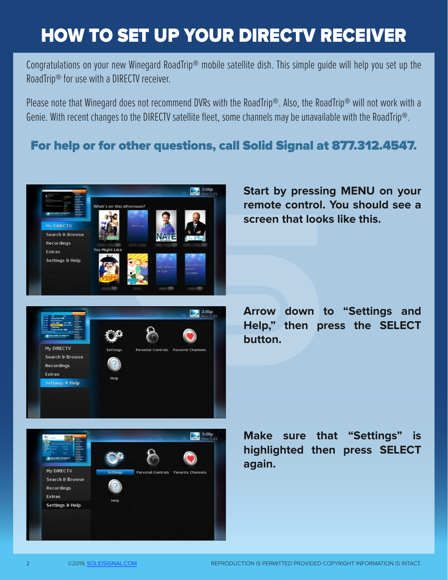## HOW TO SET UP YOUR DIRECTV RECEIVER

Congratulations on your new Winegard RoadTrip® mobile satellite dish. This simple guide will help you set up the RoadTrip® for use with a DIRECTV receiver.

Please note that Winegard does not recommend DVRs with the RoadTrip®. Also, the RoadTrip® will not work with a Genie. With recent changes to the DIRECTV satellite fleet, some channels may be unavailable with the RoadTrip®.

#### For help or for other questions, call Solid Signal at 877.312.4547.

 $\frac{3.06p}{2}$ 



**Start by pressing MENU on your remote control. You should see a screen that looks like this.**



**Parental Controls** 

**Arrow down to "Settings and Help," then press the SELECT button.**



My DIRECTV

Search & Browse Recordinas Extras Settings & Help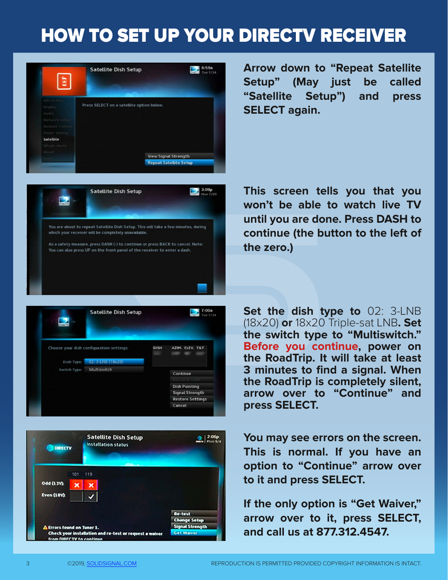### HOW TO SET UP YOUR DIRECTV RECEIVER





**Arrow down to "Repeat Satellite Setup" (May just be called "Satellite Setup") and press SELECT again.**

**This screen tells you that you won't be able to watch live TV until you are done. Press DASH to continue (the button to the left of the zero.)**





**Set the dish type to** 02: 3-LNB (18x20) **or** 18x20 Triple-sat LNB**. Set the switch type to "Multiswitch." Before you continue, power on the RoadTrip. It will take at least 3 minutes to find a signal. When the RoadTrip is completely silent, arrow over to "Continue" and press SELECT.**

**You may see errors on the screen. This is normal. If you have an option to "Continue" arrow over to it and press SELECT.**

**If the only option is "Get Waiver," arrow over to it, press SELECT, and call us at 877.312.4547.**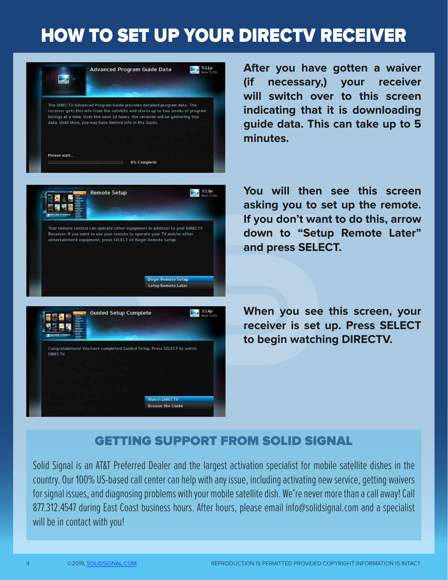### HOW TO SET UP YOUR DIRECTV RECEIVER



**After you have gotten a waiver (if necessary,) your receiver will switch over to this screen indicating that it is downloading guide data. This can take up to 5 minutes.** 

**You will then see this screen asking you to set up the remote. If you don't want to do this, arrow down to "Setup Remote Later" and press SELECT.**

**When you see this screen, your receiver is set up. Press SELECT to begin watching DIRECTV.**

#### GETTING SUPPORT FROM SOLID SIGNAL

Solid Signal is an AT&T Preferred Dealer and the largest activation specialist for mobile satellite dishes in the country. Our 100% US-based call center can help with any issue, including activating new service, getting waivers for signal issues, and diagnosing problems with your mobile satellite dish. We're never more than a call away! Call 877.312.4547 during East Coast business hours. After hours, please email info@solidsignal.com and a specialist will be in contact with you!